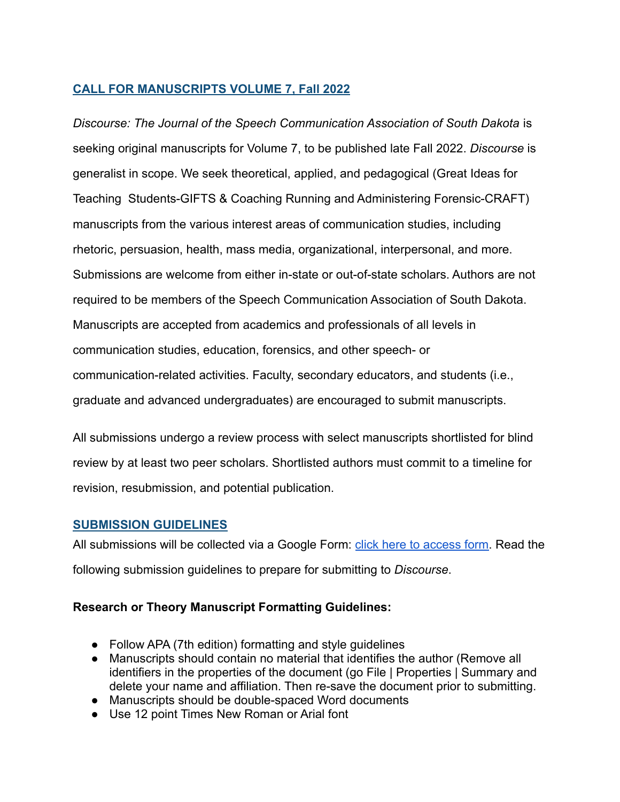### **CALL FOR MANUSCRIPTS VOLUME 7, Fall 2022**

*Discourse: The Journal of the Speech Communication Association of South Dakota* is seeking original manuscripts for Volume 7, to be published late Fall 2022. *Discourse* is generalist in scope. We seek theoretical, applied, and pedagogical (Great Ideas for Teaching Students-GIFTS & Coaching Running and Administering Forensic-CRAFT) manuscripts from the various interest areas of communication studies, including rhetoric, persuasion, health, mass media, organizational, interpersonal, and more. Submissions are welcome from either in-state or out-of-state scholars. Authors are not required to be members of the Speech Communication Association of South Dakota. Manuscripts are accepted from academics and professionals of all levels in communication studies, education, forensics, and other speech- or communication-related activities. Faculty, secondary educators, and students (i.e., graduate and advanced undergraduates) are encouraged to submit manuscripts.

All submissions undergo a review process with select manuscripts shortlisted for blind review by at least two peer scholars. Shortlisted authors must commit to a timeline for revision, resubmission, and potential publication.

#### **SUBMISSION GUIDELINES**

All submissions will be collected via a Google Form: *click here to access form*. Read the following submission guidelines to prepare for submitting to *Discourse*.

#### **Research or Theory Manuscript Formatting Guidelines:**

- Follow APA (7th edition) formatting and style guidelines
- Manuscripts should contain no material that identifies the author (Remove all identifiers in the properties of the document (go File | Properties | Summary and delete your name and affiliation. Then re-save the document prior to submitting.
- Manuscripts should be double-spaced Word documents
- Use 12 point Times New Roman or Arial font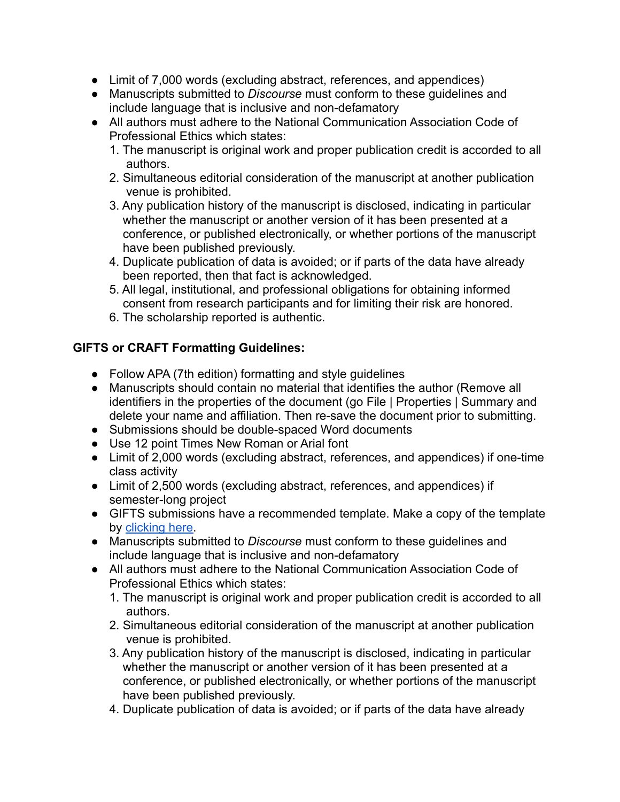- Limit of 7,000 words (excluding abstract, references, and appendices)
- Manuscripts submitted to *Discourse* must conform to these guidelines and include language that is inclusive and non-defamatory
- All authors must adhere to the National Communication Association Code of Professional Ethics which states:
	- 1. The manuscript is original work and proper publication credit is accorded to all authors.
	- 2. Simultaneous editorial consideration of the manuscript at another publication venue is prohibited.
	- 3. Any publication history of the manuscript is disclosed, indicating in particular whether the manuscript or another version of it has been presented at a conference, or published electronically, or whether portions of the manuscript have been published previously.
	- 4. Duplicate publication of data is avoided; or if parts of the data have already been reported, then that fact is acknowledged.
	- 5. All legal, institutional, and professional obligations for obtaining informed consent from research participants and for limiting their risk are honored.
	- 6. The scholarship reported is authentic.

# **GIFTS or CRAFT Formatting Guidelines:**

- Follow APA (7th edition) formatting and style guidelines
- Manuscripts should contain no material that identifies the author (Remove all identifiers in the properties of the document (go File | Properties | Summary and delete your name and affiliation. Then re-save the document prior to submitting.
- Submissions should be double-spaced Word documents
- Use 12 point Times New Roman or Arial font
- Limit of 2,000 words (excluding abstract, references, and appendices) if one-time class activity
- **●** Limit of 2,500 words (excluding abstract, references, and appendices) if semester-long project
- GIFTS submissions have a recommended template. Make a copy of the template by [clicking here.](https://docs.google.com/document/u/1/d/1foVtlQ0HZE0xRQa0Gs8VLplWVslYp3Hj9-0_LFqFg1E/copy)
- Manuscripts submitted to *Discourse* must conform to these guidelines and include language that is inclusive and non-defamatory
- All authors must adhere to the National Communication Association Code of Professional Ethics which states:
	- 1. The manuscript is original work and proper publication credit is accorded to all authors.
	- 2. Simultaneous editorial consideration of the manuscript at another publication venue is prohibited.
	- 3. Any publication history of the manuscript is disclosed, indicating in particular whether the manuscript or another version of it has been presented at a conference, or published electronically, or whether portions of the manuscript have been published previously.
	- 4. Duplicate publication of data is avoided; or if parts of the data have already